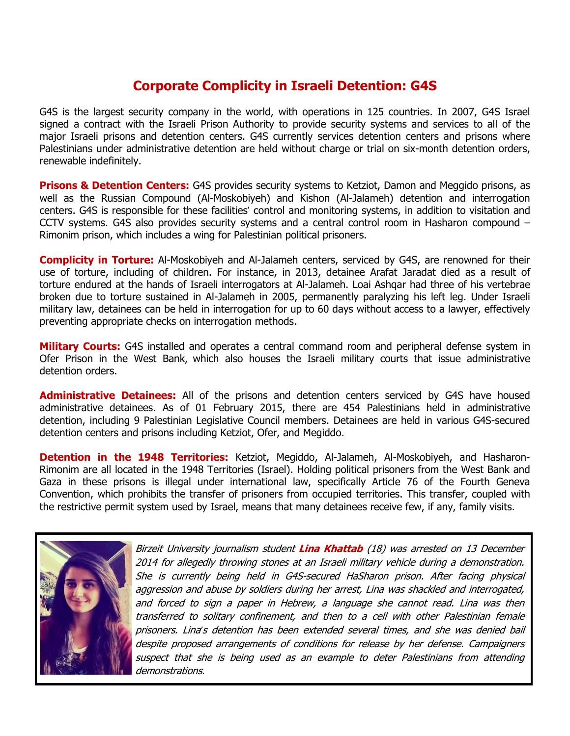## **Corporate Complicity in Israeli Detention: G4S**

G4S is the largest security company in the world, with operations in 125 countries. In 2007, G4S Israel signed a contract with the Israeli Prison Authority to provide security systems and services to all of the major Israeli prisons and detention centers. G4S currently services detention centers and prisons where Palestinians under administrative detention are held without charge or trial on six-month detention orders, renewable indefinitely.

**Prisons & Detention Centers:** G4S provides security systems to Ketziot, Damon and Meggido prisons, as well as the Russian Compound (Al-Moskobiyeh) and Kishon (Al-Jalameh) detention and interrogation centers. G4S is responsible for these facilities' control and monitoring systems, in addition to visitation and CCTV systems. G4S also provides security systems and a central control room in Hasharon compound – Rimonim prison, which includes a wing for Palestinian political prisoners.

**Complicity in Torture:** Al-Moskobiyeh and Al-Jalameh centers, serviced by G4S, are renowned for their use of torture, including of children. For instance, in 2013, detainee Arafat Jaradat died as a result of torture endured at the hands of Israeli interrogators at Al-Jalameh. Loai Ashqar had three of his vertebrae broken due to torture sustained in Al-Jalameh in 2005, permanently paralyzing his left leg. Under Israeli military law, detainees can be held in interrogation for up to 60 days without access to a lawyer, effectively preventing appropriate checks on interrogation methods.

**Military Courts:** G4S installed and operates a central command room and peripheral defense system in Ofer Prison in the West Bank, which also houses the Israeli military courts that issue administrative detention orders.

**Administrative Detainees:** All of the prisons and detention centers serviced by G4S have housed administrative detainees. As of 01 February 2015, there are 454 Palestinians held in administrative detention, including 9 Palestinian Legislative Council members. Detainees are held in various G4S-secured detention centers and prisons including Ketziot, Ofer, and Megiddo.

**Detention in the 1948 Territories:** Ketziot, Megiddo, Al-Jalameh, Al-Moskobiyeh, and Hasharon-Rimonim are all located in the 1948 Territories (Israel). Holding political prisoners from the West Bank and Gaza in these prisons is illegal under international law, specifically Article 76 of the Fourth Geneva Convention, which prohibits the transfer of prisoners from occupied territories. This transfer, coupled with the restrictive permit system used by Israel, means that many detainees receive few, if any, family visits.



Birzeit University journalism student **Lina Khattab** (18) was arrested on 13 December 2014 for allegedly throwing stones at an Israeli military vehicle during <sup>a</sup> demonstration. She is currently being held in G4S-secured HaSharon prison. After facing physical aggression and abuse by soldiers during her arrest, Lina was shackled and interrogated, and forced to sign <sup>a</sup> paper in Hebrew, <sup>a</sup> language she cannot read. Lina was then transferred to solitary confinement, and then to <sup>a</sup> cell with other Palestinian female prisoners. Lina*'*<sup>s</sup> detention has been extended several times, and she was denied bail despite proposed arrangements of conditions for release by her defense. Campaigners suspect that she is being used as an example to deter Palestinians from attending demonstrations.